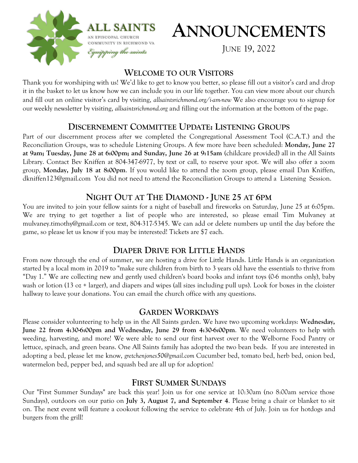

# **ANNOUNCEMENTS**

JUNE 19, 2022

#### **WELCOME TO OUR VISITORS**

Thank you for worshiping with us! We'd like to get to know you better, so please fill out a visitor's card and drop it in the basket to let us know how we can include you in our life together. You can view more about our church and fill out an online visitor's card by visiting, *allsaintsrichmond.org/i-am-new* We also encourage you to signup for our weekly newsletter by visiting, *allsaintsrichmond.org* and filling out the information at the bottom of the page.

### **DISCERNEMENT COMMITTEE UPDATE: LISTENING GROUPS**

Part of our discernment process after we completed the Congregational Assessment Tool (C.A.T.) and the Reconciliation Groups, was to schedule Listening Groups. A few more have been scheduled: **Monday, June 27 at 9am; Tuesday, June 28 at 6:00pm; and Sunday, June 26 at 9:15am** (childcare provided) all in the All Saints Library. Contact Bev Kniffen at 804-347-6977, by text or call, to reserve your spot. We will also offer a zoom group, **Monday, July 18 at 8:00pm**. If you would like to attend the zoom group, please email Dan Kniffen, dkniffen123@gmail.com You did not need to attend the Reconciliation Groups to attend a Listening Session.

# **NIGHT OUT AT THE DIAMOND - JUNE 25 AT 6PM**

You are invited to join your fellow saints for a night of baseball and fireworks on Saturday, June 25 at 6:05pm. We are trying to get together a list of people who are interested, so please email Tim Mulvaney at mulvaney.timothy@gmail.com or text, 804-317-5345. We can add or delete numbers up until the day before the game, so please let us know if you may be interested! Tickets are \$7 each.

# **DIAPER DRIVE FOR LITTLE HANDS**

From now through the end of summer, we are hosting a drive for Little Hands. Little Hands is an organization started by a local mom in 2019 to "make sure children from birth to 3 years old have the essentials to thrive from "Day 1." We are collecting new and gently used children's board books and infant toys (0-6 months only), baby wash or lotion (13 oz + larger), and diapers and wipes (all sizes including pull ups). Look for boxes in the cloister hallway to leave your donations. You can email the church office with any questions.

#### **GARDEN WORKDAYS**

Please consider volunteering to help us in the All Saints garden. We have two upcoming workdays: **Wednesday, June 22 from 4:30-6:00pm and Wednesday, June 29 from 4:30-6:00pm**. We need volunteers to help with weeding, harvesting, and more! We were able to send our first harvest over to the Welborne Food Pantry or lettuce, spinach, and green beans. One All Saints family has adopted the two bean beds. If you are interested in adopting a bed, please let me know, *gretchenjones50@gmail.com* Cucumber bed, tomato bed, herb bed, onion bed, watermelon bed, pepper bed, and squash bed are all up for adoption!

### **FIRST SUMMER SUNDAYS**

Our "First Summer Sundays" are back this year! Join us for one service at 10:30am (no 8:00am service those Sundays), outdoors on our patio on **July 3, August 7, and September 4**. Please bring a chair or blanket to sit on. The next event will feature a cookout following the service to celebrate 4th of July. Join us for hotdogs and burgers from the grill!